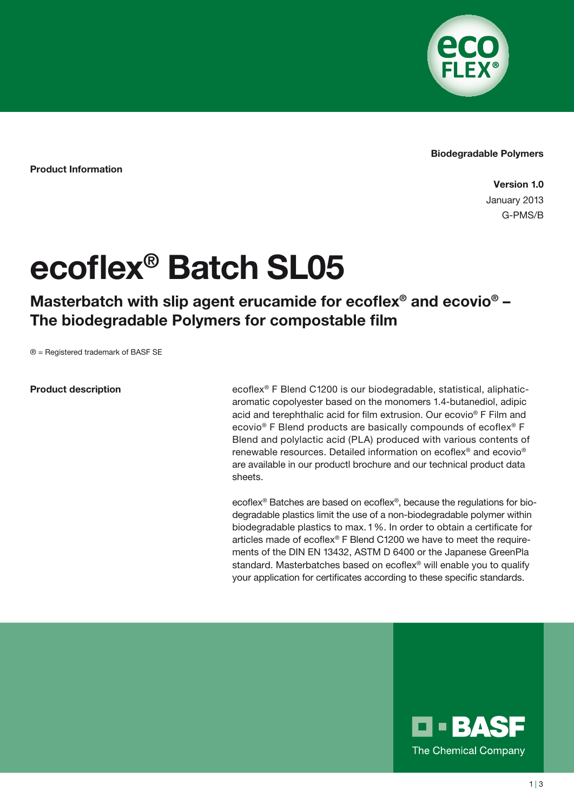

## Biodegradable Polymers

Product Information

Version 1.0 January 2013 G-PMS/B

## ecoflex® Batch SL05

Masterbatch with slip agent erucamide for ecoflex® and ecovio® -The biodegradable Polymers for compostable film

® = Registered trademark of BASF SE

## Product description

ecoflex® F Blend C1200 is our biodegradable, statistical, aliphaticaromatic copolyester based on the monomers 1.4-butanediol, adipic acid and terephthalic acid for film extrusion. Our ecovio® F Film and ecovio® F Blend products are basically compounds of ecoflex® F Blend and polylactic acid (PLA) produced with various contents of renewable resources. Detailed information on ecoflex® and ecovio® are available in our productl brochure and our technical product data sheets.

ecoflex® Batches are based on ecoflex®, because the regulations for biodegradable plastics limit the use of a non-biodegradable polymer within biodegradable plastics to max.1 %. In order to obtain a certificate for articles made of ecoflex® F Blend C1200 we have to meet the requirements of the DIN EN 13432, ASTM D 6400 or the Japanese GreenPla standard. Masterbatches based on ecoflex® will enable you to qualify your application for certificates according to these specific standards.

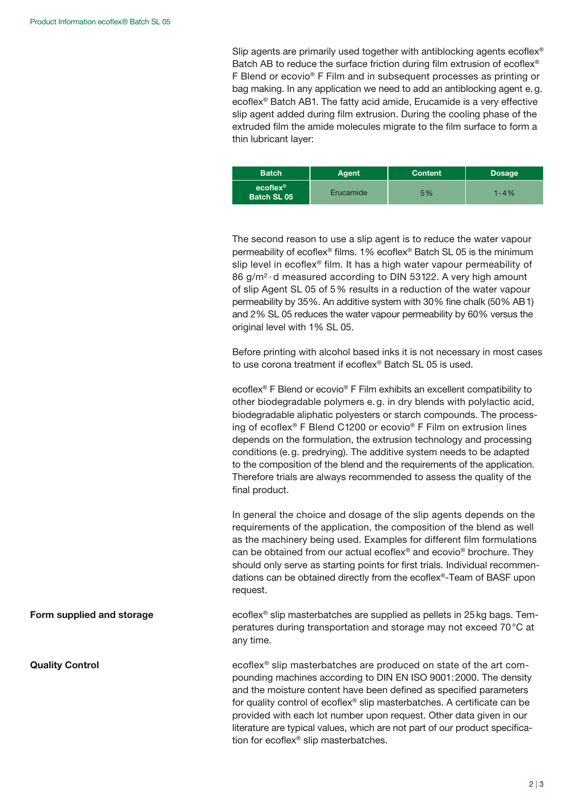Slip agents are primarily used together with antiblocking agents ecoflex<sup>®</sup> Batch AB to reduce the surface friction during film extrusion of ecoflex<sup>®</sup> F Blend or ecovio® F Film and in subsequent processes as printing or bag making. In any application we need to add an antiblocking agent e.g. ecoflex® Batch AB1. The fatty acid amide, Erucamide is a very effective slip agent added during film extrusion. During the cooling phase of the extruded film the amide molecules migrate to the film surface to form a thin lubricant layer:

| <b>Batch</b>                     | <b>Agent</b> | <b>Content</b> | <b>Dosage</b> |
|----------------------------------|--------------|----------------|---------------|
| $ecoflex^{\circ}$<br>Batch SL 05 | Erucamide    | 5%             | $1 - 4\%$     |

The second reason to use a slip agent is to reduce the water vapour permeability of ecoflex® films. 1 % ecoflex® Batch SL 05 is the minimum slip level in ecoflex® film. It has a high water vapour permeability of 86 g/m<sup>2</sup> · d measured according to DIN 53122. A very high amount of slip Agent SL 05 of 5 % results in a reduction of the water vapour permeability by 35 %. An additive system with 30 % fine chalk (50 % AB1) and 2% SL 05 reduces the water vapour permeability by 60% versus the original level with 1% SL 05.

Before printing with alcohol based inks it is not necessary in most cases to use corona treatment if ecoflex® Batch SL 05 is used.

ecoflex® F Blend or ecovio® F Film exhibits an excellent compatibility to other biodegradable polymers e. g. in dry blends with polylactic acid, biodegradable aliphatic polyesters or starch compounds. The processing of ecoflex® F Blend C1200 or ecovio® F Film on extrusion lines depends on the formulation, the extrusion technology and processing conditions (e.g. predrying). The additive system needs to be adapted to the composition of the blend and the requirements of the application. Therefore trials are always recommended to assess the quality of the final product.

In general the choice and dosage of the slip agents depends on the requirements of the application, the composition of the blend as well as the machinery being used. Examples for different film formulations can be obtained from our actual ecoflex® and ecovio® brochure. They should only serve as starting points for first trials. Individual recommendations can be obtained directly from the ecoflex®-Team of BASF upon request.

ecoflex® slip masterbatches are supplied as pellets in 25kg bags. Temperatures during transportation and storage may not exceed 70 °C at any time.

ecoflex® slip masterbatches are produced on state of the art compounding machines according to DIN EN ISO 9001:2000. The density and the moisture content have been defined as specified parameters for quality control of ecoflex® slip masterbatches. A certificate can be provided with each lot number upon request. Other data given in our literature are typical values, which are not part of our product specification for ecoflex® slip masterbatches.

Form supplied and storage

Quality Control